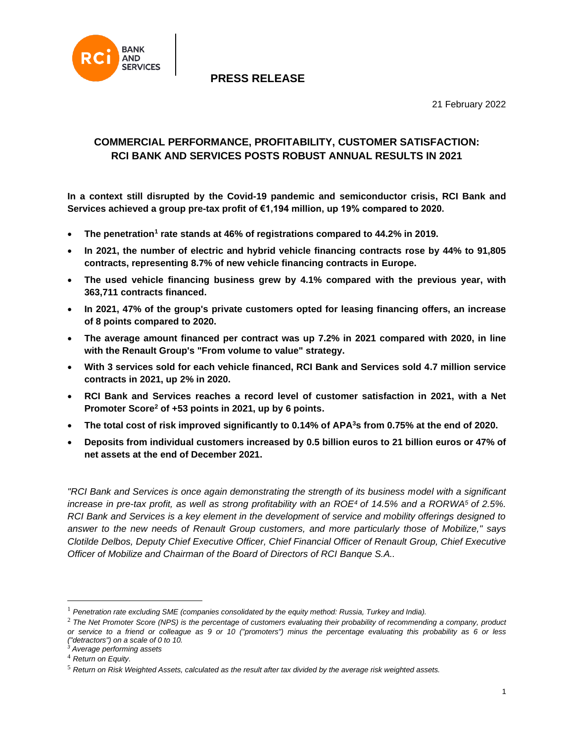

21 February 2022

## **COMMERCIAL PERFORMANCE, PROFITABILITY, CUSTOMER SATISFACTION: RCI BANK AND SERVICES POSTS ROBUST ANNUAL RESULTS IN 2021**

**In a context still disrupted by the Covid-19 pandemic and semiconductor crisis, RCI Bank and Services achieved a group pre-tax profit of €1,194 million, up 19% compared to 2020.** 

- **•** The penetration<sup>1</sup> rate stands at 46% of registrations compared to 44.2% in 2019.
- **In 2021, the number of electric and hybrid vehicle financing contracts rose by 44% to 91,805 contracts, representing 8.7% of new vehicle financing contracts in Europe.**
- **The used vehicle financing business grew by 4.1% compared with the previous year, with 363,711 contracts financed.**
- **In 2021, 47% of the group's private customers opted for leasing financing offers, an increase of 8 points compared to 2020.**
- **The average amount financed per contract was up 7.2% in 2021 compared with 2020, in line with the Renault Group's "From volume to value" strategy.**
- **With 3 services sold for each vehicle financed, RCI Bank and Services sold 4.7 million service contracts in 2021, up 2% in 2020.**
- **RCI Bank and Services reaches a record level of customer satisfaction in 2021, with a Net Promoter Score<sup>2</sup> of +53 points in 2021, up by 6 points.**
- **The total cost of risk improved significantly to 0.14% of APA<sup>3</sup>s from 0.75% at the end of 2020.**
- **Deposits from individual customers increased by 0.5 billion euros to 21 billion euros or 47% of net assets at the end of December 2021.**

*"RCI Bank and Services is once again demonstrating the strength of its business model with a significant increase in pre-tax profit, as well as strong profitability with an ROE<sup>4</sup> of 14.5% and a RORWA<sup>5</sup> of 2.5%. RCI Bank and Services is a key element in the development of service and mobility offerings designed to answer to the new needs of Renault Group customers, and more particularly those of Mobilize," says Clotilde Delbos, Deputy Chief Executive Officer, Chief Financial Officer of Renault Group, Chief Executive Officer of Mobilize and Chairman of the Board of Directors of RCI Banque S.A..*

<sup>1</sup> *Penetration rate excluding SME (companies consolidated by the equity method: Russia, Turkey and India).*

<sup>2</sup> *The Net Promoter Score (NPS) is the percentage of customers evaluating their probability of recommending a company, product or service to a friend or colleague as 9 or 10 ("promoters") minus the percentage evaluating this probability as 6 or less ("detractors") on a scale of 0 to 10.*

*<sup>3</sup> Average performing assets*

<sup>4</sup> *Return on Equity.*

<sup>5</sup> *Return on Risk Weighted Assets, calculated as the result after tax divided by the average risk weighted assets.*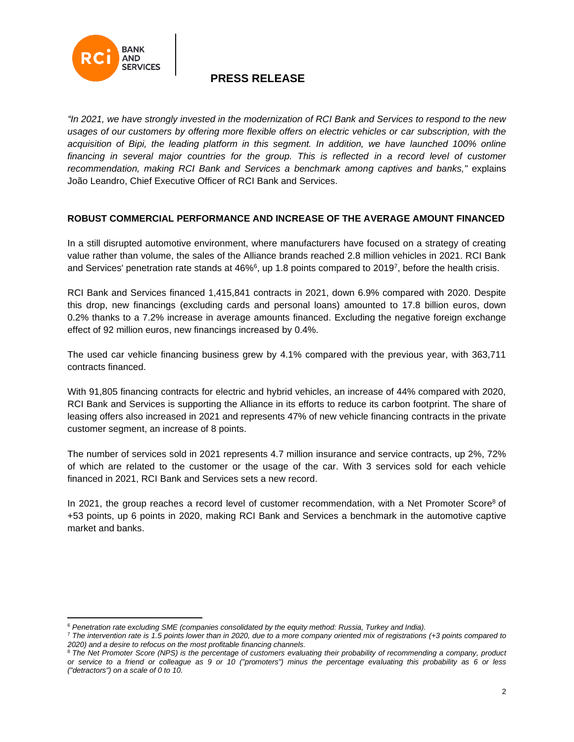

*"In 2021, we have strongly invested in the modernization of RCI Bank and Services to respond to the new usages of our customers by offering more flexible offers on electric vehicles or car subscription, with the*  acquisition of Bipi, the leading platform in this segment. In addition, we have launched 100% online financing in several major countries for the group. This is reflected in a record level of customer *recommendation, making RCI Bank and Services a benchmark among captives and banks,"* explains João Leandro, Chief Executive Officer of RCI Bank and Services.

### **ROBUST COMMERCIAL PERFORMANCE AND INCREASE OF THE AVERAGE AMOUNT FINANCED**

In a still disrupted automotive environment, where manufacturers have focused on a strategy of creating value rather than volume, the sales of the Alliance brands reached 2.8 million vehicles in 2021. RCI Bank and Services' penetration rate stands at 46%<sup>6</sup>, up 1.8 points compared to 2019<sup>7</sup>, before the health crisis.

RCI Bank and Services financed 1,415,841 contracts in 2021, down 6.9% compared with 2020. Despite this drop, new financings (excluding cards and personal loans) amounted to 17.8 billion euros, down 0.2% thanks to a 7.2% increase in average amounts financed. Excluding the negative foreign exchange effect of 92 million euros, new financings increased by 0.4%.

The used car vehicle financing business grew by 4.1% compared with the previous year, with 363,711 contracts financed.

With 91,805 financing contracts for electric and hybrid vehicles, an increase of 44% compared with 2020, RCI Bank and Services is supporting the Alliance in its efforts to reduce its carbon footprint. The share of leasing offers also increased in 2021 and represents 47% of new vehicle financing contracts in the private customer segment, an increase of 8 points.

The number of services sold in 2021 represents 4.7 million insurance and service contracts, up 2%, 72% of which are related to the customer or the usage of the car. With 3 services sold for each vehicle financed in 2021, RCI Bank and Services sets a new record.

In 2021, the group reaches a record level of customer recommendation, with a Net Promoter Score<sup>8</sup> of +53 points, up 6 points in 2020, making RCI Bank and Services a benchmark in the automotive captive market and banks.

<sup>6</sup> *Penetration rate excluding SME (companies consolidated by the equity method: Russia, Turkey and India).*

<sup>7</sup> *The intervention rate is 1.5 points lower than in 2020, due to a more company oriented mix of registrations (+3 points compared to 2020) and a desire to refocus on the most profitable financing channels.*

<sup>8</sup> *The Net Promoter Score (NPS) is the percentage of customers evaluating their probability of recommending a company, product or service to a friend or colleague as 9 or 10 ("promoters") minus the percentage evaluating this probability as 6 or less ("detractors") on a scale of 0 to 10.*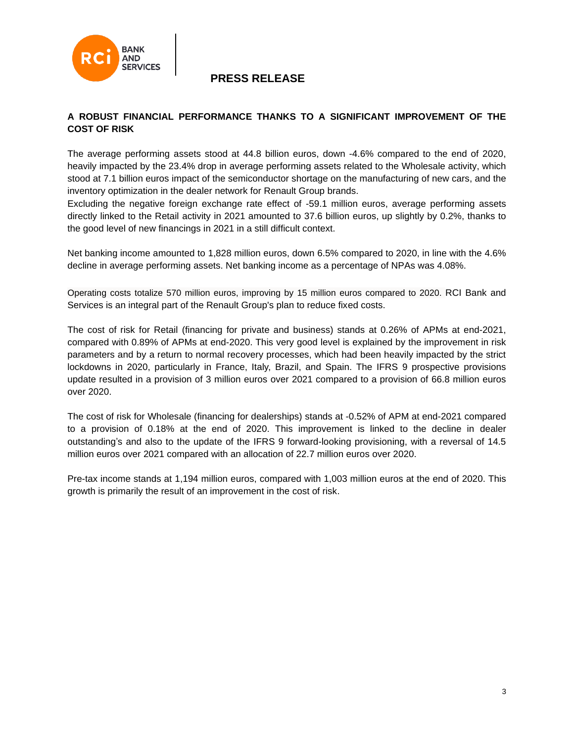

### **A ROBUST FINANCIAL PERFORMANCE THANKS TO A SIGNIFICANT IMPROVEMENT OF THE COST OF RISK**

The average performing assets stood at 44.8 billion euros, down -4.6% compared to the end of 2020, heavily impacted by the 23.4% drop in average performing assets related to the Wholesale activity, which stood at 7.1 billion euros impact of the semiconductor shortage on the manufacturing of new cars, and the inventory optimization in the dealer network for Renault Group brands.

Excluding the negative foreign exchange rate effect of -59.1 million euros, average performing assets directly linked to the Retail activity in 2021 amounted to 37.6 billion euros, up slightly by 0.2%, thanks to the good level of new financings in 2021 in a still difficult context.

Net banking income amounted to 1,828 million euros, down 6.5% compared to 2020, in line with the 4.6% decline in average performing assets. Net banking income as a percentage of NPAs was 4.08%.

Operating costs totalize 570 million euros, improving by 15 million euros compared to 2020. RCI Bank and Services is an integral part of the Renault Group's plan to reduce fixed costs.

The cost of risk for Retail (financing for private and business) stands at 0.26% of APMs at end-2021, compared with 0.89% of APMs at end-2020. This very good level is explained by the improvement in risk parameters and by a return to normal recovery processes, which had been heavily impacted by the strict lockdowns in 2020, particularly in France, Italy, Brazil, and Spain. The IFRS 9 prospective provisions update resulted in a provision of 3 million euros over 2021 compared to a provision of 66.8 million euros over 2020.

The cost of risk for Wholesale (financing for dealerships) stands at -0.52% of APM at end-2021 compared to a provision of 0.18% at the end of 2020. This improvement is linked to the decline in dealer outstanding's and also to the update of the IFRS 9 forward-looking provisioning, with a reversal of 14.5 million euros over 2021 compared with an allocation of 22.7 million euros over 2020.

Pre-tax income stands at 1,194 million euros, compared with 1,003 million euros at the end of 2020. This growth is primarily the result of an improvement in the cost of risk.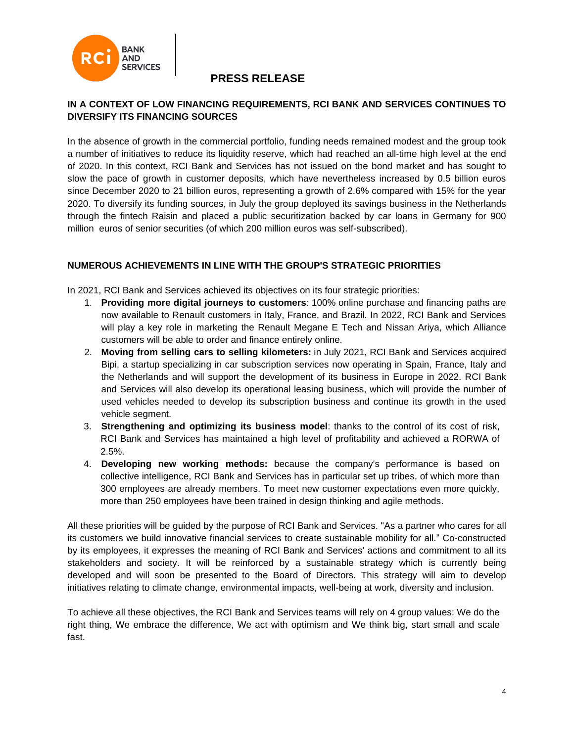

### **IN A CONTEXT OF LOW FINANCING REQUIREMENTS, RCI BANK AND SERVICES CONTINUES TO DIVERSIFY ITS FINANCING SOURCES**

In the absence of growth in the commercial portfolio, funding needs remained modest and the group took a number of initiatives to reduce its liquidity reserve, which had reached an all-time high level at the end of 2020. In this context, RCI Bank and Services has not issued on the bond market and has sought to slow the pace of growth in customer deposits, which have nevertheless increased by 0.5 billion euros since December 2020 to 21 billion euros, representing a growth of 2.6% compared with 15% for the year 2020. To diversify its funding sources, in July the group deployed its savings business in the Netherlands through the fintech Raisin and placed a public securitization backed by car loans in Germany for 900 million euros of senior securities (of which 200 million euros was self-subscribed).

### **NUMEROUS ACHIEVEMENTS IN LINE WITH THE GROUP'S STRATEGIC PRIORITIES**

In 2021, RCI Bank and Services achieved its objectives on its four strategic priorities:

- 1. **Providing more digital journeys to customers**: 100% online purchase and financing paths are now available to Renault customers in Italy, France, and Brazil. In 2022, RCI Bank and Services will play a key role in marketing the Renault Megane E Tech and Nissan Ariya, which Alliance customers will be able to order and finance entirely online.
- 2. **Moving from selling cars to selling kilometers:** in July 2021, RCI Bank and Services acquired Bipi, a startup specializing in car subscription services now operating in Spain, France, Italy and the Netherlands and will support the development of its business in Europe in 2022. RCI Bank and Services will also develop its operational leasing business, which will provide the number of used vehicles needed to develop its subscription business and continue its growth in the used vehicle segment.
- 3. **Strengthening and optimizing its business model**: thanks to the control of its cost of risk, RCI Bank and Services has maintained a high level of profitability and achieved a RORWA of 2.5%.
- 4. **Developing new working methods:** because the company's performance is based on collective intelligence, RCI Bank and Services has in particular set up tribes, of which more than 300 employees are already members. To meet new customer expectations even more quickly, more than 250 employees have been trained in design thinking and agile methods.

All these priorities will be guided by the purpose of RCI Bank and Services. "As a partner who cares for all its customers we build innovative financial services to create sustainable mobility for all." Co-constructed by its employees, it expresses the meaning of RCI Bank and Services' actions and commitment to all its stakeholders and society. It will be reinforced by a sustainable strategy which is currently being developed and will soon be presented to the Board of Directors. This strategy will aim to develop initiatives relating to climate change, environmental impacts, well-being at work, diversity and inclusion.

To achieve all these objectives, the RCI Bank and Services teams will rely on 4 group values: We do the right thing, We embrace the difference, We act with optimism and We think big, start small and scale fast.